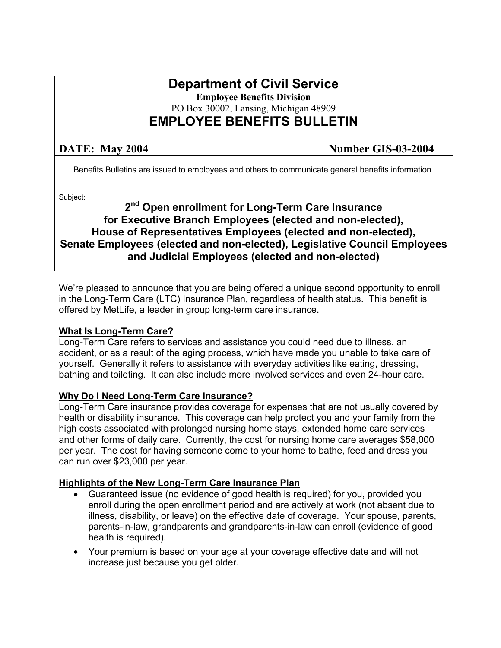# **Department of Civil Service**

**Employee Benefits Division** 

PO Box 30002, Lansing, Michigan 48909

## **EMPLOYEE BENEFITS BULLETIN**

**DATE:** May 2004 **Number GIS-03-2004** 

Benefits Bulletins are issued to employees and others to communicate general benefits information.

Subject:

## **2nd Open enrollment for Long-Term Care Insurance for Executive Branch Employees (elected and non-elected), House of Representatives Employees (elected and non-elected), Senate Employees (elected and non-elected), Legislative Council Employees and Judicial Employees (elected and non-elected)**

We're pleased to announce that you are being offered a unique second opportunity to enroll in the Long-Term Care (LTC) Insurance Plan, regardless of health status. This benefit is offered by MetLife, a leader in group long-term care insurance.

### **What Is Long-Term Care?**

Long-Term Care refers to services and assistance you could need due to illness, an accident, or as a result of the aging process, which have made you unable to take care of yourself. Generally it refers to assistance with everyday activities like eating, dressing, bathing and toileting. It can also include more involved services and even 24-hour care.

### **Why Do I Need Long-Term Care Insurance?**

Long-Term Care insurance provides coverage for expenses that are not usually covered by health or disability insurance. This coverage can help protect you and your family from the high costs associated with prolonged nursing home stays, extended home care services and other forms of daily care. Currently, the cost for nursing home care averages \$58,000 per year. The cost for having someone come to your home to bathe, feed and dress you can run over \$23,000 per year.

### **Highlights of the New Long-Term Care Insurance Plan**

- Guaranteed issue (no evidence of good health is required) for you, provided you enroll during the open enrollment period and are actively at work (not absent due to illness, disability, or leave) on the effective date of coverage. Your spouse, parents, parents-in-law, grandparents and grandparents-in-law can enroll (evidence of good health is required).
- Your premium is based on your age at your coverage effective date and will not increase just because you get older.